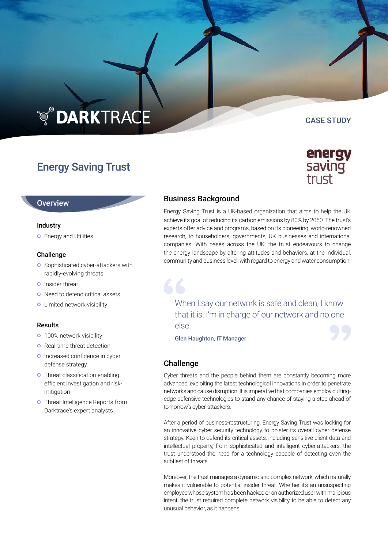# **TO DARKTRACE**

# Energy Saving Trust

# **Overview**

# Industry

**O** Energy and Utilities

# Challenge

- **o** Sophisticated cyber-attackers with rapidly-evolving threats
- **O** Insider threat
- **o** Need to defend critical assets
- **o** Limited network visibility

# Results

- **o** 100% network visibility
- **o** Real-time threat detection
- o Increased confidence in cyber defense strategy
- **o** Threat classification enabling efficient investigation and riskmitigation
- **o** Threat Intelligence Reports from Darktrace's expert analysts

# Business Background

Energy Saving Trust is a UK-based organization that aims to help the UK achieve its goal of reducing its carbon emissions by 80% by 2050. The trust's experts offer advice and programs, based on its pioneering, world-renowned research, to householders, governments, UK businesses and international companies. With bases across the UK, the trust endeavours to change the energy landscape by altering attitudes and behaviors, at the individual, community and business level, with regard to energy and water consumption.

When I say our network is safe and clean, I know that it is. I'm in charge of our network and no one else.

Glen Haughton, IT Manager

# Challenge

66

Cyber threats and the people behind them are constantly becoming more advanced, exploiting the latest technological innovations in order to penetrate networks and cause disruption. It is imperative that companies employ cuttingedge defensive technologies to stand any chance of staying a step ahead of tomorrow's cyber-attackers.

After a period of business-restructuring, Energy Saving Trust was looking for an innovative cyber security technology to bolster its overall cyber defense strategy. Keen to defend its critical assets, including sensitive client data and intellectual property, from sophisticated and intelligent cyber-attackers, the trust understood the need for a technology capable of detecting even the subtlest of threats.

Moreover, the trust manages a dynamic and complex network, which naturally makes it vulnerable to potential insider threat. Whether it's an unsuspecting employee whose system has been hacked or an authorized user with malicious intent, the trust required complete network visibility to be able to detect any unusual behavior, as it happens.



CASE STUDY